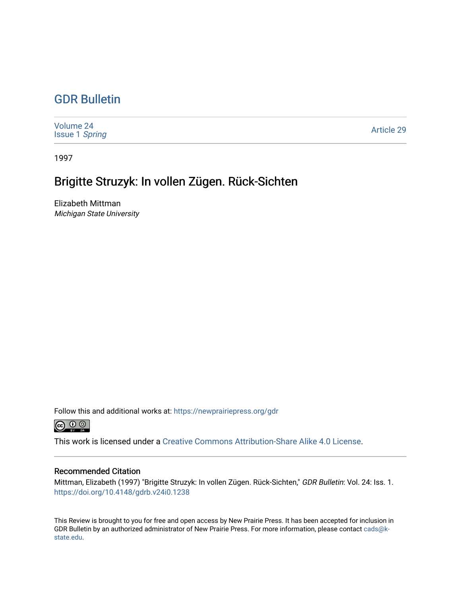## [GDR Bulletin](https://newprairiepress.org/gdr)

| Volume 24<br><b>Issue 1 Spring</b> | <b>Article 29</b> |
|------------------------------------|-------------------|
|------------------------------------|-------------------|

1997

# Brigitte Struzyk: In vollen Zügen. Rück-Sichten

Elizabeth Mittman Michigan State University

Follow this and additional works at: [https://newprairiepress.org/gdr](https://newprairiepress.org/gdr?utm_source=newprairiepress.org%2Fgdr%2Fvol24%2Fiss1%2F29&utm_medium=PDF&utm_campaign=PDFCoverPages) 



This work is licensed under a [Creative Commons Attribution-Share Alike 4.0 License.](https://creativecommons.org/licenses/by-sa/4.0/)

## Recommended Citation

Mittman, Elizabeth (1997) "Brigitte Struzyk: In vollen Zügen. Rück-Sichten," GDR Bulletin: Vol. 24: Iss. 1. <https://doi.org/10.4148/gdrb.v24i0.1238>

This Review is brought to you for free and open access by New Prairie Press. It has been accepted for inclusion in GDR Bulletin by an authorized administrator of New Prairie Press. For more information, please contact [cads@k](mailto:cads@k-state.edu)[state.edu](mailto:cads@k-state.edu).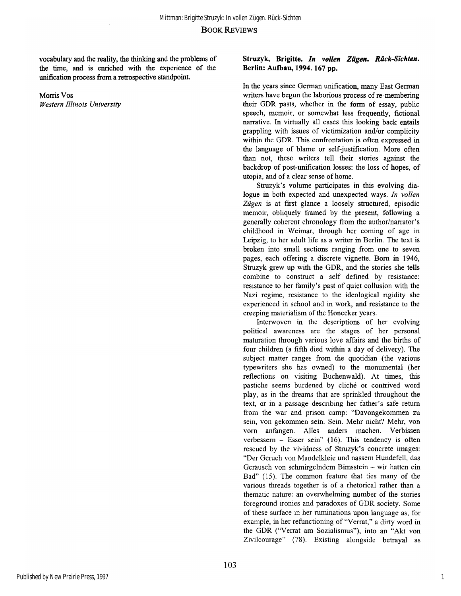vocabulary and the reality, the thinking and the problems of the time, and is enriched with the experience of the unification process from a retrospective standpoint.

Morris Vos *Western Illinois University* 

### **Struzyk, Brigitte.** *In vollen Zügen. Rück-Sichten.*  **Berlin: Aufbau, 1994.167 pp.**

In the years since German unification, many East German writers have begun the laborious process of re-membering their GDR pasts, whether in the form of essay, public speech, memoir, or somewhat less frequently, fictional narrative. In virtually all cases this looking back entails grappling with issues of victimization and/or complicity within the GDR. This confrontation is often expressed in the language of blame or self-justification. More often than not, these writers tell their stories against the backdrop of post-unification losses: the loss of hopes, of **Utopia,** and of a clear sense of home.

Struzyk's volume participates in this evolving dialogue in both expected and unexpected ways. *In vollen Zügen* is at first glance a loosely structured, episodic memoir, obliquely framed by the present, following a generally coherent chronology from the author/narrator's childhood in Weimar, through her coming of age in Leipzig, to her adult life as a writer in Berlin. The text is broken into small sections ranging from one to seven pages, each offering a discrete vignette. Bom in 1946, Struzyk grew up with the GDR, and the stories she tells combine to construct a self defined by resistance: resistance to her family's past of quiet collusion with the Nazi regime, resistance to the ideological rigidity she experienced in school and in work, and resistance to the creeping materialism of the Honecker years.

Interwoven in the descriptions of her evolving political awareness are the stages of her personal maturation through various love affairs and the births of four children (a fifth died within a day of delivery). The subject matter ranges from the quotidian (the various typewriters she has owned) to the monumental (her reflections on visiting Buchenwald). At times, this pastiche seems burdened by cliche or contrived word play, as in the dreams that are sprinkled throughout the text, or in a passage describing her father's safe return from the war and prison camp: "Davongekommen zu sein, von gekommen sein. Sein. Mehr nicht? Mehr, von vorn anfangen. Alles anders machen. Verbissen verbessern - Esser sein" (16). This tendency is often rescued by the vividness of Struzyk's concrete images: "Der Geruch von Mandelkleie und nassem Hundefell, das Geräusch von schmirgelndem Bimsstein - wir hatten ein Bad" **(15).** The common feature that ties many of the various threads together is of a rhetorical rather than a thematic nature: an overwhelming number of the stories foreground ironies and paradoxes of GDR society. Some of these surface in her ruminations upon language as, for example, in her refunctioning of "Verrat," a dirty word in the GDR ("Verrat am Sozialismus"), into an "Akt von Zivilcourage" **(78).** Existing alongside betrayal as